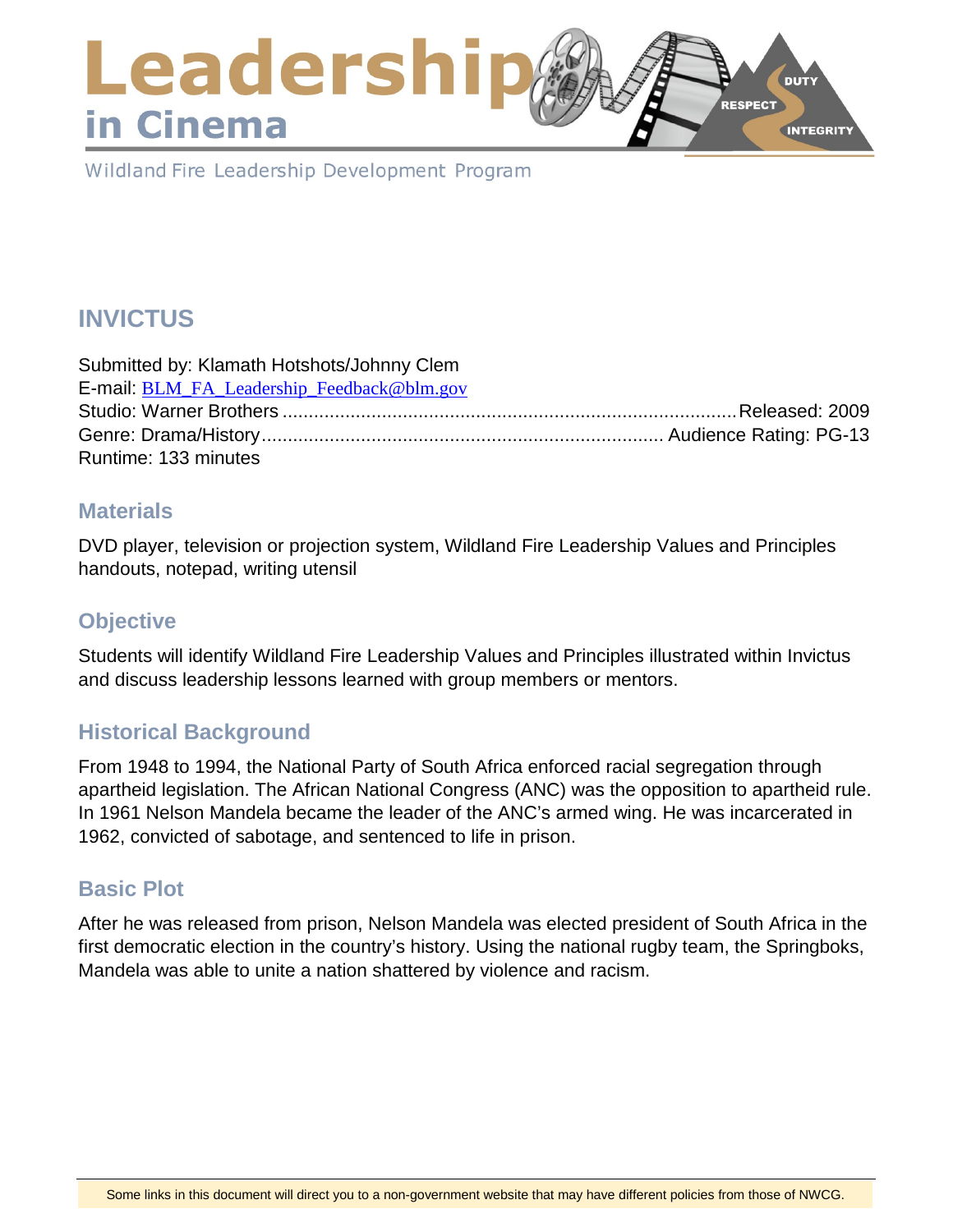## Leadershi **DUTY** RESPECT in Cinema **INTEGRITY**

Wildland Fire Leadership Development Program

# **INVICTUS**

| Submitted by: Klamath Hotshots/Johnny Clem |  |
|--------------------------------------------|--|
| E-mail: BLM_FA_Leadership_Feedback@blm.gov |  |
|                                            |  |
|                                            |  |
| Runtime: 133 minutes                       |  |

#### **Materials**

DVD player, television or projection system, Wildland Fire Leadership Values and Principles handouts, notepad, writing utensil

## **Objective**

Students will identify Wildland Fire Leadership Values and Principles illustrated within Invictus and discuss leadership lessons learned with group members or mentors.

## **Historical Background**

From 1948 to 1994, the National Party of South Africa enforced racial segregation through apartheid legislation. The African National Congress (ANC) was the opposition to apartheid rule. In 1961 Nelson Mandela became the leader of the ANC's armed wing. He was incarcerated in 1962, convicted of sabotage, and sentenced to life in prison.

## **Basic Plot**

After he was released from prison, Nelson Mandela was elected president of South Africa in the first democratic election in the country's history. Using the national rugby team, the Springboks, Mandela was able to unite a nation shattered by violence and racism.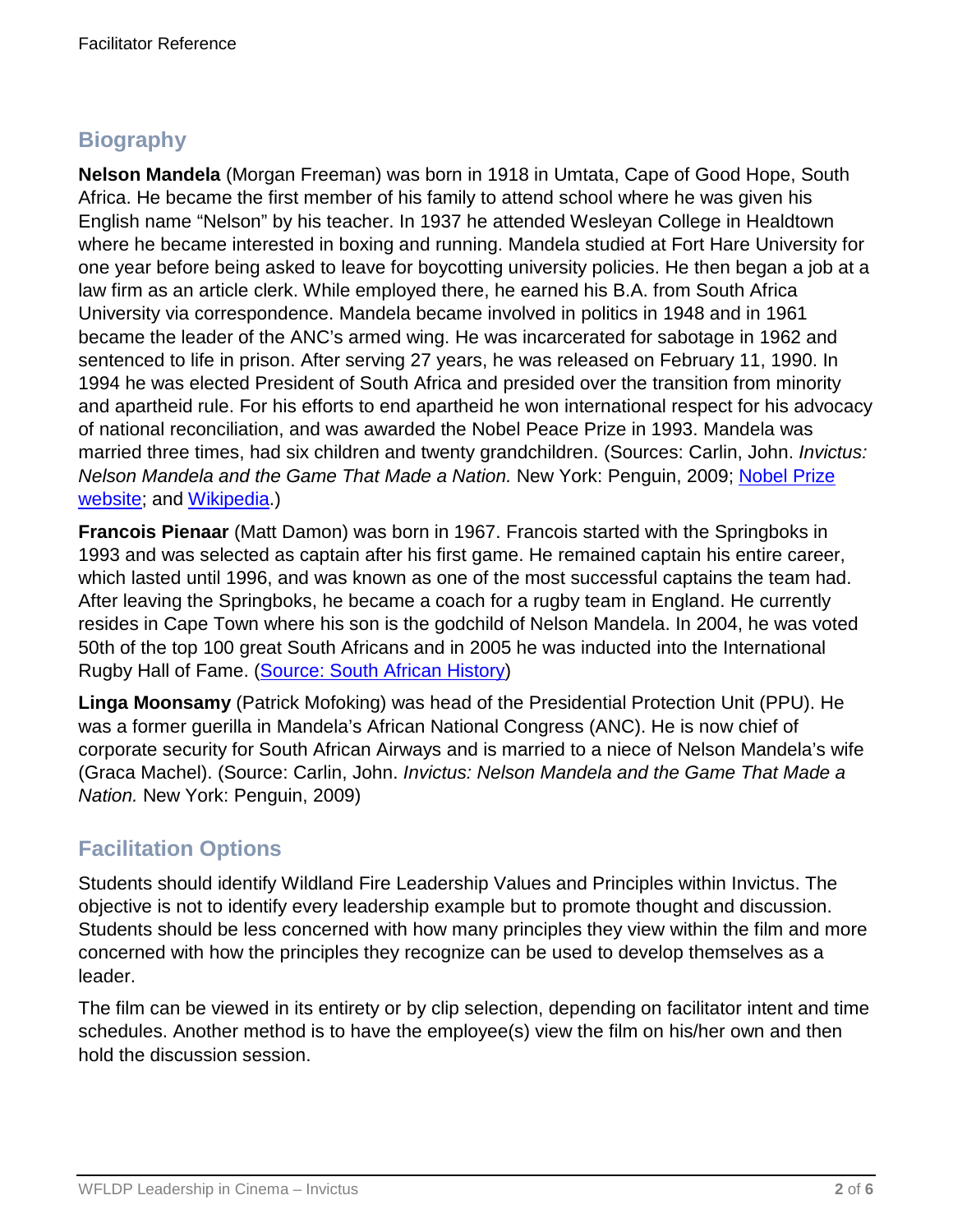## **Biography**

**Nelson Mandela** (Morgan Freeman) was born in 1918 in Umtata, Cape of Good Hope, South Africa. He became the first member of his family to attend school where he was given his English name "Nelson" by his teacher. In 1937 he attended Wesleyan College in Healdtown where he became interested in boxing and running. Mandela studied at Fort Hare University for one year before being asked to leave for boycotting university policies. He then began a job at a law firm as an article clerk. While employed there, he earned his B.A. from South Africa University via correspondence. Mandela became involved in politics in 1948 and in 1961 became the leader of the ANC's armed wing. He was incarcerated for sabotage in 1962 and sentenced to life in prison. After serving 27 years, he was released on February 11, 1990. In 1994 he was elected President of South Africa and presided over the transition from minority and apartheid rule. For his efforts to end apartheid he won international respect for his advocacy of national reconciliation, and was awarded the Nobel Peace Prize in 1993. Mandela was married three times, had six children and twenty grandchildren. (Sources: Carlin, John. *Invictus: Nelson Mandela and the Game That Made a Nation.* New York: Penguin, 2009; [Nobel Prize](https://www.nobelprize.org/nobel_prizes/peace/laureates/1993/mandela-facts.html)  [website;](https://www.nobelprize.org/nobel_prizes/peace/laureates/1993/mandela-facts.html) and [Wikipedia.](https://en.wikipedia.org/wiki/Nelson_Mandela))

**Francois Pienaar** (Matt Damon) was born in 1967. Francois started with the Springboks in 1993 and was selected as captain after his first game. He remained captain his entire career, which lasted until 1996, and was known as one of the most successful captains the team had. After leaving the Springboks, he became a coach for a rugby team in England. He currently resides in Cape Town where his son is the godchild of Nelson Mandela. In 2004, he was voted 50th of the top 100 great South Africans and in 2005 he was inducted into the International Rugby Hall of Fame. [\(Source: South African History\)](source:%20http://www.sahistory.org.za/people/francois-pienaar)

**Linga Moonsamy** (Patrick Mofoking) was head of the Presidential Protection Unit (PPU). He was a former guerilla in Mandela's African National Congress (ANC). He is now chief of corporate security for South African Airways and is married to a niece of Nelson Mandela's wife (Graca Machel). (Source: Carlin, John. *Invictus: Nelson Mandela and the Game That Made a Nation.* New York: Penguin, 2009)

## **Facilitation Options**

Students should identify Wildland Fire Leadership Values and Principles within Invictus. The objective is not to identify every leadership example but to promote thought and discussion. Students should be less concerned with how many principles they view within the film and more concerned with how the principles they recognize can be used to develop themselves as a leader.

The film can be viewed in its entirety or by clip selection, depending on facilitator intent and time schedules. Another method is to have the employee(s) view the film on his/her own and then hold the discussion session.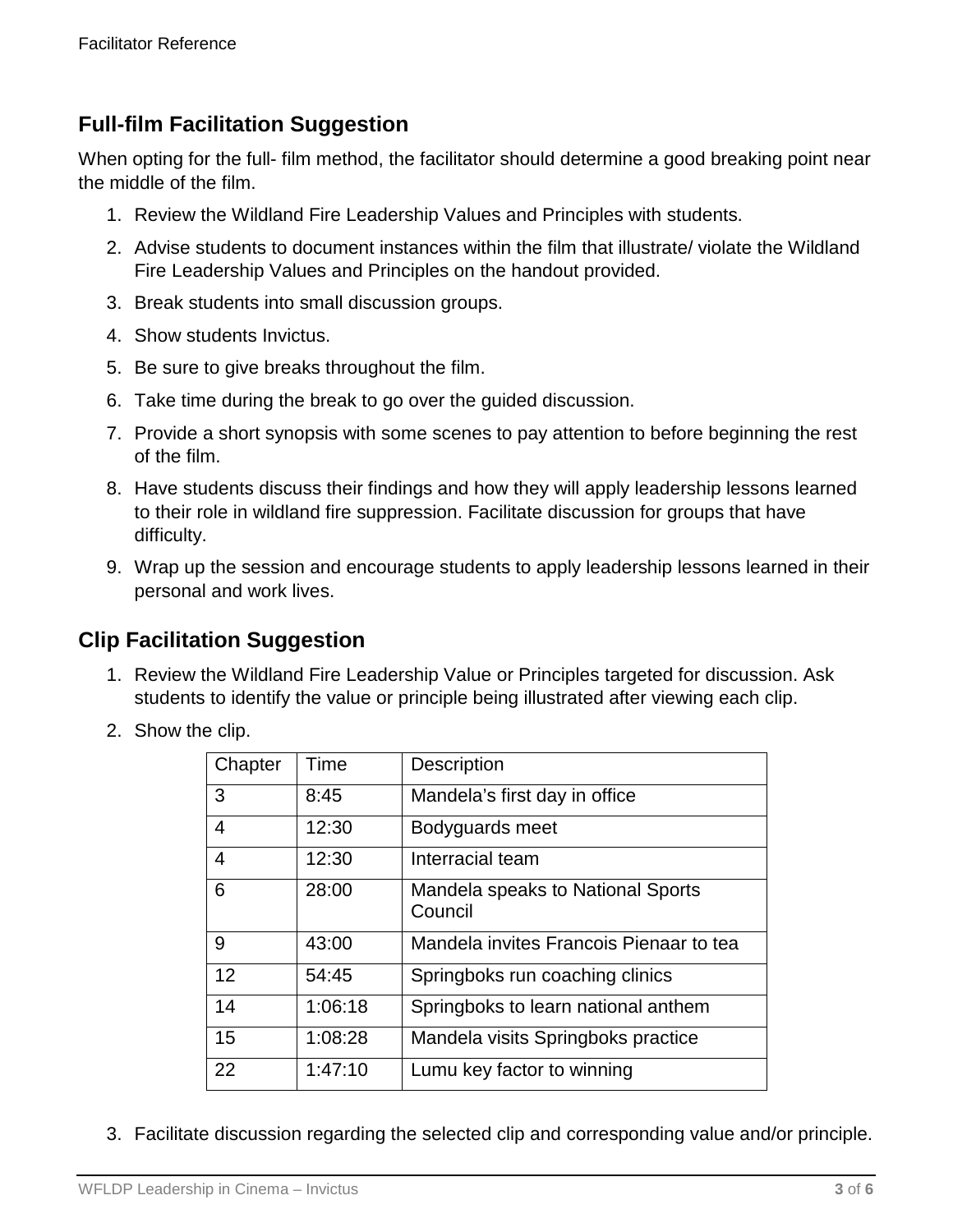## **Full-film Facilitation Suggestion**

When opting for the full- film method, the facilitator should determine a good breaking point near the middle of the film.

- 1. Review the Wildland Fire Leadership Values and Principles with students.
- 2. Advise students to document instances within the film that illustrate/ violate the Wildland Fire Leadership Values and Principles on the handout provided.
- 3. Break students into small discussion groups.
- 4. Show students Invictus.
- 5. Be sure to give breaks throughout the film.
- 6. Take time during the break to go over the guided discussion.
- 7. Provide a short synopsis with some scenes to pay attention to before beginning the rest of the film.
- 8. Have students discuss their findings and how they will apply leadership lessons learned to their role in wildland fire suppression. Facilitate discussion for groups that have difficulty.
- 9. Wrap up the session and encourage students to apply leadership lessons learned in their personal and work lives.

## **Clip Facilitation Suggestion**

- 1. Review the Wildland Fire Leadership Value or Principles targeted for discussion. Ask students to identify the value or principle being illustrated after viewing each clip.
- 2. Show the clip.

| Chapter | Time    | Description                                  |
|---------|---------|----------------------------------------------|
| 3       | 8:45    | Mandela's first day in office                |
| 4       | 12:30   | Bodyguards meet                              |
| 4       | 12:30   | Interracial team                             |
| 6       | 28:00   | Mandela speaks to National Sports<br>Council |
| 9       | 43:00   | Mandela invites Francois Pienaar to tea      |
| 12      | 54:45   | Springboks run coaching clinics              |
| 14      | 1:06:18 | Springboks to learn national anthem          |
| 15      | 1:08:28 | Mandela visits Springboks practice           |
| 22      | 1:47:10 | Lumu key factor to winning                   |

3. Facilitate discussion regarding the selected clip and corresponding value and/or principle.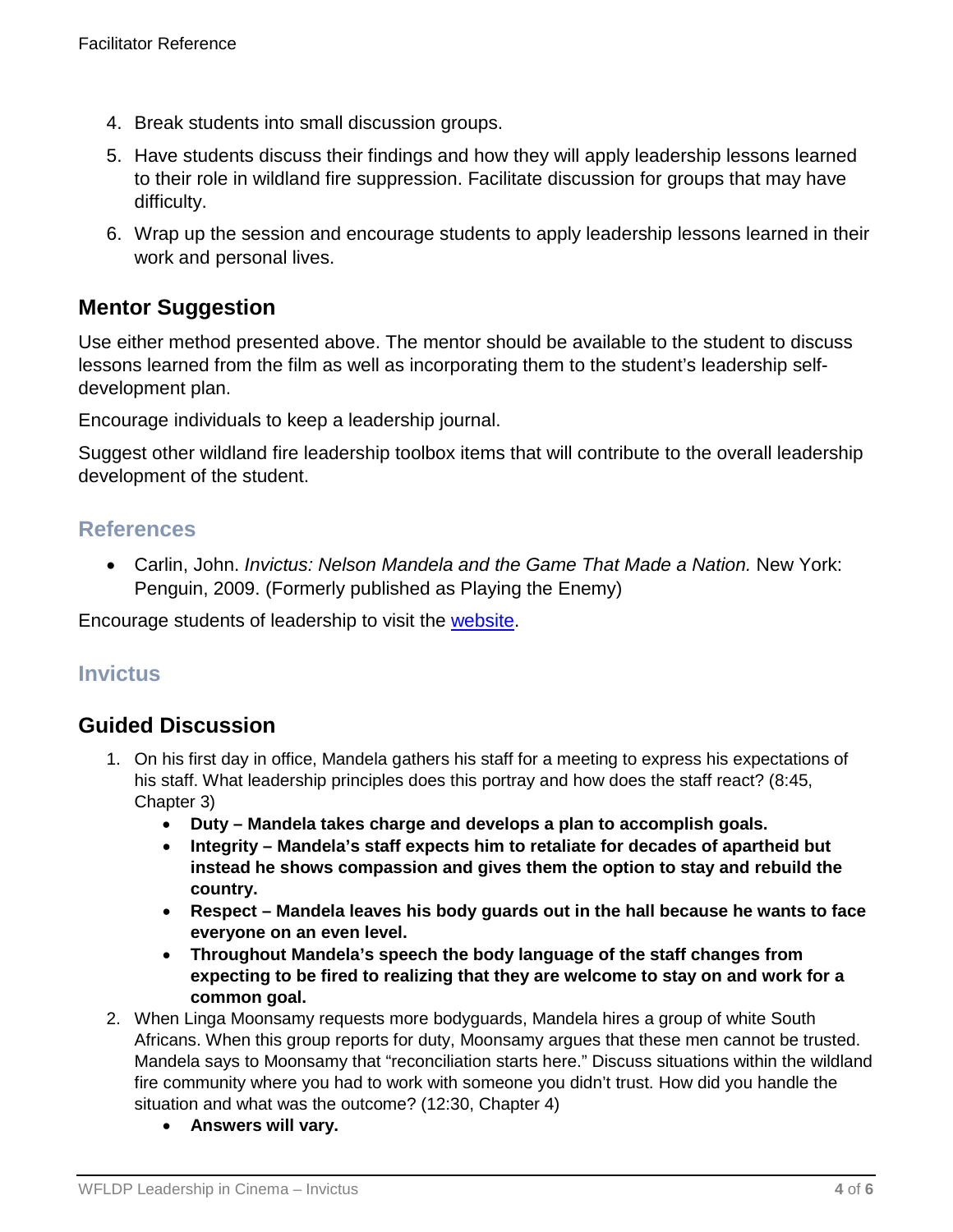- 4. Break students into small discussion groups.
- 5. Have students discuss their findings and how they will apply leadership lessons learned to their role in wildland fire suppression. Facilitate discussion for groups that may have difficulty.
- 6. Wrap up the session and encourage students to apply leadership lessons learned in their work and personal lives.

## **Mentor Suggestion**

Use either method presented above. The mentor should be available to the student to discuss lessons learned from the film as well as incorporating them to the student's leadership selfdevelopment plan.

Encourage individuals to keep a leadership journal.

Suggest other wildland fire leadership toolbox items that will contribute to the overall leadership development of the student.

## **References**

• Carlin, John. *Invictus: Nelson Mandela and the Game That Made a Nation.* New York: Penguin, 2009. (Formerly published as Playing the Enemy)

Encourage students of leadership to visit the [website.](https://www.fireleadership.gov/)

## **Invictus**

## **Guided Discussion**

- 1. On his first day in office, Mandela gathers his staff for a meeting to express his expectations of his staff. What leadership principles does this portray and how does the staff react? (8:45, Chapter 3)
	- **Duty – Mandela takes charge and develops a plan to accomplish goals.**
	- **Integrity – Mandela's staff expects him to retaliate for decades of apartheid but instead he shows compassion and gives them the option to stay and rebuild the country.**
	- **Respect – Mandela leaves his body guards out in the hall because he wants to face everyone on an even level.**
	- **Throughout Mandela's speech the body language of the staff changes from expecting to be fired to realizing that they are welcome to stay on and work for a common goal.**
- 2. When Linga Moonsamy requests more bodyguards, Mandela hires a group of white South Africans. When this group reports for duty, Moonsamy argues that these men cannot be trusted. Mandela says to Moonsamy that "reconciliation starts here." Discuss situations within the wildland fire community where you had to work with someone you didn't trust. How did you handle the situation and what was the outcome? (12:30, Chapter 4)
	- **Answers will vary.**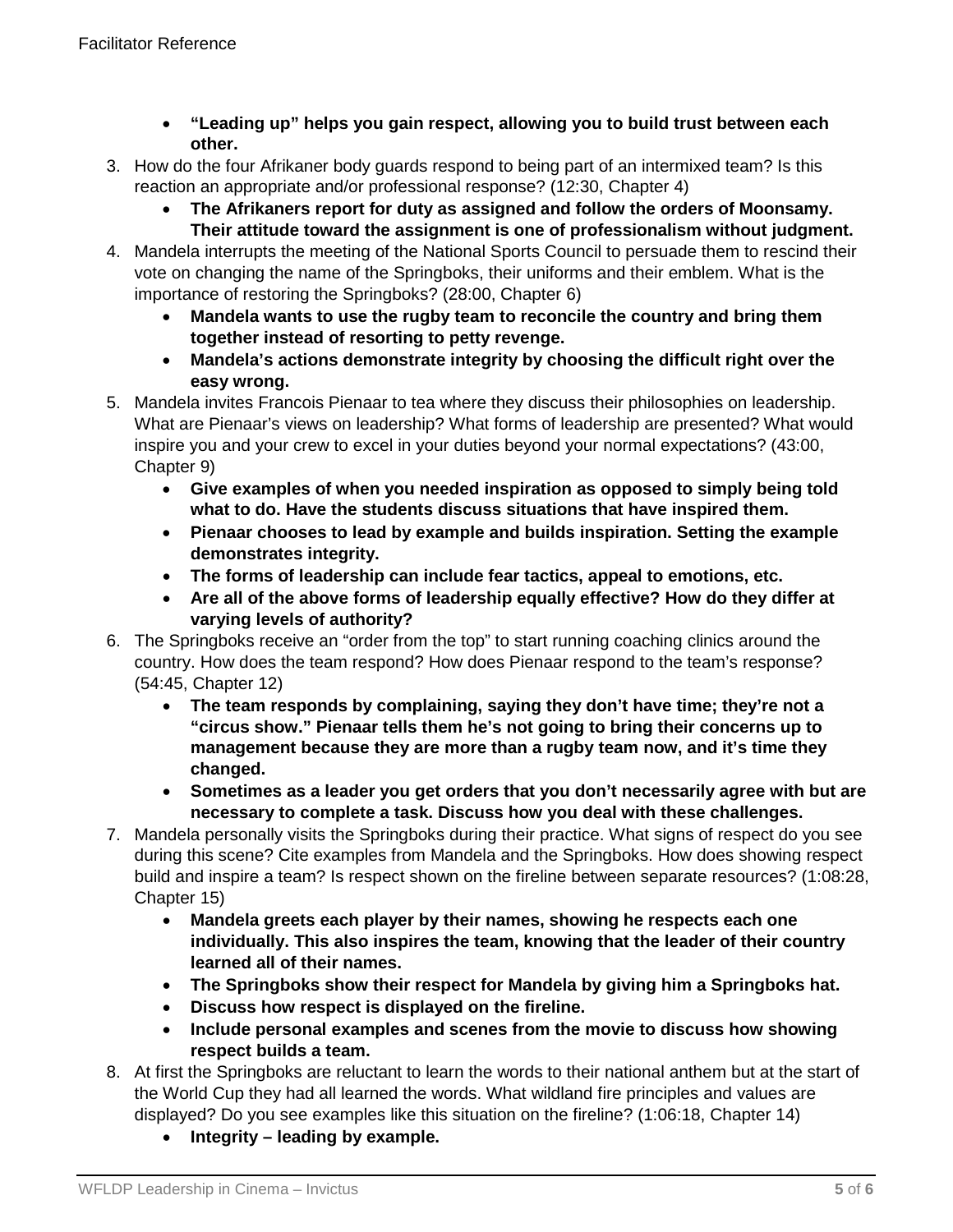- **"Leading up" helps you gain respect, allowing you to build trust between each other.**
- 3. How do the four Afrikaner body guards respond to being part of an intermixed team? Is this reaction an appropriate and/or professional response? (12:30, Chapter 4)
	- **The Afrikaners report for duty as assigned and follow the orders of Moonsamy. Their attitude toward the assignment is one of professionalism without judgment.**
- 4. Mandela interrupts the meeting of the National Sports Council to persuade them to rescind their vote on changing the name of the Springboks, their uniforms and their emblem. What is the importance of restoring the Springboks? (28:00, Chapter 6)
	- **Mandela wants to use the rugby team to reconcile the country and bring them together instead of resorting to petty revenge.**
	- **Mandela's actions demonstrate integrity by choosing the difficult right over the easy wrong.**
- 5. Mandela invites Francois Pienaar to tea where they discuss their philosophies on leadership. What are Pienaar's views on leadership? What forms of leadership are presented? What would inspire you and your crew to excel in your duties beyond your normal expectations? (43:00, Chapter 9)
	- **Give examples of when you needed inspiration as opposed to simply being told what to do. Have the students discuss situations that have inspired them.**
	- **Pienaar chooses to lead by example and builds inspiration. Setting the example demonstrates integrity.**
	- **The forms of leadership can include fear tactics, appeal to emotions, etc.**
	- **Are all of the above forms of leadership equally effective? How do they differ at varying levels of authority?**
- 6. The Springboks receive an "order from the top" to start running coaching clinics around the country. How does the team respond? How does Pienaar respond to the team's response? (54:45, Chapter 12)
	- **The team responds by complaining, saying they don't have time; they're not a "circus show." Pienaar tells them he's not going to bring their concerns up to management because they are more than a rugby team now, and it's time they changed.**
	- **Sometimes as a leader you get orders that you don't necessarily agree with but are necessary to complete a task. Discuss how you deal with these challenges.**
- 7. Mandela personally visits the Springboks during their practice. What signs of respect do you see during this scene? Cite examples from Mandela and the Springboks. How does showing respect build and inspire a team? Is respect shown on the fireline between separate resources? (1:08:28, Chapter 15)
	- **Mandela greets each player by their names, showing he respects each one individually. This also inspires the team, knowing that the leader of their country learned all of their names.**
	- **The Springboks show their respect for Mandela by giving him a Springboks hat.**
	- **Discuss how respect is displayed on the fireline.**
	- **Include personal examples and scenes from the movie to discuss how showing respect builds a team.**
- 8. At first the Springboks are reluctant to learn the words to their national anthem but at the start of the World Cup they had all learned the words. What wildland fire principles and values are displayed? Do you see examples like this situation on the fireline? (1:06:18, Chapter 14)
	- **Integrity – leading by example.**